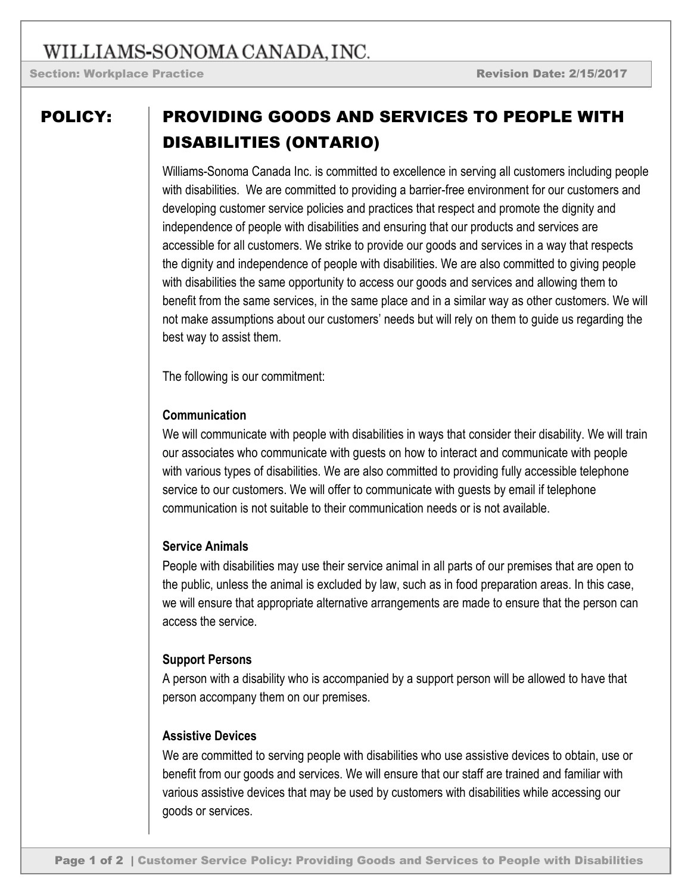# WILLIAMS-SONOMA CANADA, INC.

Section: Workplace Practice **Review Access 2/15/2017** 

## POLICY: PROVIDING GOODS AND SERVICES TO PEOPLE WITH DISABILITIES (ONTARIO)

Williams-Sonoma Canada Inc. is committed to excellence in serving all customers including people with disabilities. We are committed to providing a barrier-free environment for our customers and developing customer service policies and practices that respect and promote the dignity and independence of people with disabilities and ensuring that our products and services are accessible for all customers. We strike to provide our goods and services in a way that respects the dignity and independence of people with disabilities. We are also committed to giving people with disabilities the same opportunity to access our goods and services and allowing them to benefit from the same services, in the same place and in a similar way as other customers. We will not make assumptions about our customers' needs but will rely on them to guide us regarding the best way to assist them.

The following is our commitment:

#### **Communication**

We will communicate with people with disabilities in ways that consider their disability. We will train our associates who communicate with guests on how to interact and communicate with people with various types of disabilities. We are also committed to providing fully accessible telephone service to our customers. We will offer to communicate with guests by email if telephone communication is not suitable to their communication needs or is not available.

### **Service Animals**

People with disabilities may use their service animal in all parts of our premises that are open to the public, unless the animal is excluded by law, such as in food preparation areas. In this case, we will ensure that appropriate alternative arrangements are made to ensure that the person can access the service.

### **Support Persons**

A person with a disability who is accompanied by a support person will be allowed to have that person accompany them on our premises.

#### **Assistive Devices**

We are committed to serving people with disabilities who use assistive devices to obtain, use or benefit from our goods and services. We will ensure that our staff are trained and familiar with various assistive devices that may be used by customers with disabilities while accessing our goods or services.